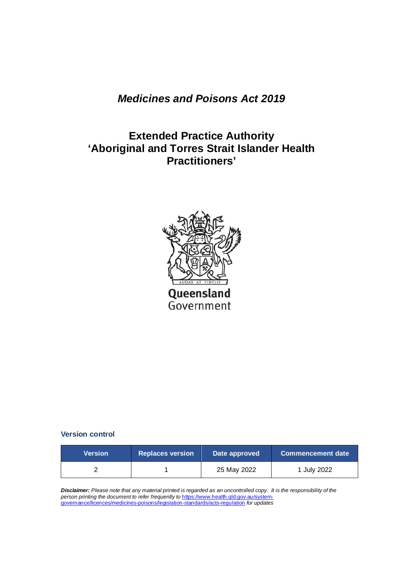# *Medicines and Poisons Act 2019*

# **Extended Practice Authority 'Aboriginal and Torres Strait Islander Health Practitioners'**



#### **Version control**

| <b>Version</b> | <b>Replaces version</b> | Date approved | Commencement date |
|----------------|-------------------------|---------------|-------------------|
|                |                         | 25 May 2022   | 1 July 2022       |

*Disclaimer: Please note that any material printed is regarded as an uncontrolled copy. It is the responsibility of the person printing the document to refer frequently to* [https://www.health.qld.gov.au/system](https://www.health.qld.gov.au/system-governance/licences/medicines-poisons/legislation-standards/acts-regulation)[governance/licences/medicines-poisons/legislation-standards/acts-regulation](https://www.health.qld.gov.au/system-governance/licences/medicines-poisons/legislation-standards/acts-regulation) *for updates*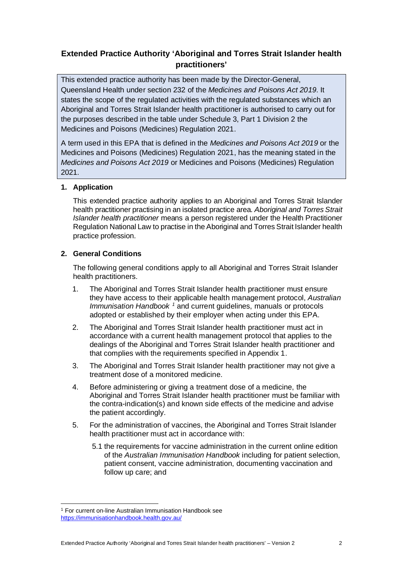## **Extended Practice Authority 'Aboriginal and Torres Strait Islander health practitioners'**

This extended practice authority has been made by the Director-General, Queensland Health under section 232 of the *Medicines and Poisons Act 2019*. It states the scope of the regulated activities with the regulated substances which an Aboriginal and Torres Strait Islander health practitioner is authorised to carry out for the purposes described in the table under Schedule 3, Part 1 Division 2 the Medicines and Poisons (Medicines) Regulation 2021.

A term used in this EPA that is defined in the *Medicines and Poisons Act 2019* or the Medicines and Poisons (Medicines) Regulation 2021, has the meaning stated in the *Medicines and Poisons Act 2019* or Medicines and Poisons (Medicines) Regulation 2021.

### **1. Application**

This extended practice authority applies to an Aboriginal and Torres Strait Islander health practitioner practising in an isolated practice area. *Aboriginal and Torres Strait Islander health practitioner* means a person registered under the Health Practitioner Regulation National Law to practise in the Aboriginal and Torres Strait Islander health practice profession.

#### **2. General Conditions**

The following general conditions apply to all Aboriginal and Torres Strait Islander health practitioners.

- 1. The Aboriginal and Torres Strait Islander health practitioner must ensure they have access to their applicable health management protocol, *Australian Immunisation Handbook [1](#page-1-0)* and current guidelines, manuals or protocols adopted or established by their employer when acting under this EPA.
- 2. The Aboriginal and Torres Strait Islander health practitioner must act in accordance with a current health management protocol that applies to the dealings of the Aboriginal and Torres Strait Islander health practitioner and that complies with the requirements specified in Appendix 1.
- 3. The Aboriginal and Torres Strait Islander health practitioner may not give a treatment dose of a monitored medicine.
- 4. Before administering or giving a treatment dose of a medicine, the Aboriginal and Torres Strait Islander health practitioner must be familiar with the contra-indication(s) and known side effects of the medicine and advise the patient accordingly.
- 5. For the administration of vaccines, the Aboriginal and Torres Strait Islander health practitioner must act in accordance with:
	- 5.1 the requirements for vaccine administration in the current online edition of the *Australian Immunisation Handbook* including for patient selection, patient consent, vaccine administration, documenting vaccination and follow up care; and

<span id="page-1-0"></span><sup>1</sup> For current on-line Australian Immunisation Handbook see <https://immunisationhandbook.health.gov.au/>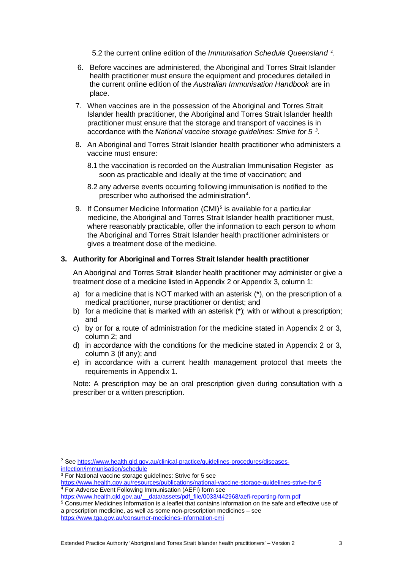5.[2](#page-2-0) the current online edition of the Immunisation Schedule Queensland<sup>2</sup>.

- 6. Before vaccines are administered, the Aboriginal and Torres Strait Islander health practitioner must ensure the equipment and procedures detailed in the current online edition of the *Australian Immunisation Handbook* are in place.
- 7. When vaccines are in the possession of the Aboriginal and Torres Strait Islander health practitioner, the Aboriginal and Torres Strait Islander health practitioner must ensure that the storage and transport of vaccines is in accordance with the *National vaccine storage guidelines: Strive for 5 [3](#page-2-1)* .
- 8. An Aboriginal and Torres Strait Islander health practitioner who administers a vaccine must ensure:
	- 8.1 the vaccination is recorded on the [Australian Immunisation Register](https://www.servicesaustralia.gov.au/individuals/services/medicare/australian-immunisation-register) as soon as practicable and ideally at the time of vaccination; and
	- 8.2 any adverse events occurring following immunisation is notified to the prescriber who authorised the administration $4$ .
- 9. If [Consumer Medicine Information](https://www.tga.gov.au/consumer-medicines-information-cmi) (CMI)<sup>[5](#page-2-3)</sup> is available for a particular medicine, the Aboriginal and Torres Strait Islander health practitioner must, where reasonably practicable, offer the information to each person to whom the Aboriginal and Torres Strait Islander health practitioner administers or gives a treatment dose of the medicine.

#### **3. Authority for Aboriginal and Torres Strait Islander health practitioner**

An Aboriginal and Torres Strait Islander health practitioner may administer or give a treatment dose of a medicine listed in Appendix 2 or Appendix 3, column 1:

- a) for a medicine that is NOT marked with an asterisk (\*), on the prescription of a medical practitioner, nurse practitioner or dentist; and
- b) for a medicine that is marked with an asterisk  $(*)$ ; with or without a prescription; and
- c) by or for a route of administration for the medicine stated in Appendix 2 or 3, column 2; and
- d) in accordance with the conditions for the medicine stated in Appendix 2 or 3, column 3 (if any); and
- e) in accordance with a current health management protocol that meets the requirements in Appendix 1.

Note: A prescription may be an oral prescription given during consultation with a prescriber or a written prescription.

- <sup>3</sup> For National vaccine storage guidelines: Strive for 5 see
- <span id="page-2-2"></span><span id="page-2-1"></span><https://www.health.gov.au/resources/publications/national-vaccine-storage-guidelines-strive-for-5> <sup>4</sup> For Adverse Event Following Immunisation (AEFI) form see

<span id="page-2-0"></span><sup>2</sup> See [https://www.health.qld.gov.au/clinical-practice/guidelines-procedures/diseases](https://www.health.qld.gov.au/clinical-practice/guidelines-procedures/diseases-infection/immunisation/schedule)[infection/immunisation/schedule](https://www.health.qld.gov.au/clinical-practice/guidelines-procedures/diseases-infection/immunisation/schedule)

[https://www.health.qld.gov.au/\\_\\_data/assets/pdf\\_file/0033/442968/aefi-reporting-form.pdf](https://www.health.qld.gov.au/__data/assets/pdf_file/0033/442968/aefi-reporting-form.pdf)

<span id="page-2-3"></span><sup>5</sup> Consumer Medicines Information is a leaflet that contains information on the safe and effective use of a prescription medicine, as well as some non-prescription medicines – see <https://www.tga.gov.au/consumer-medicines-information-cmi>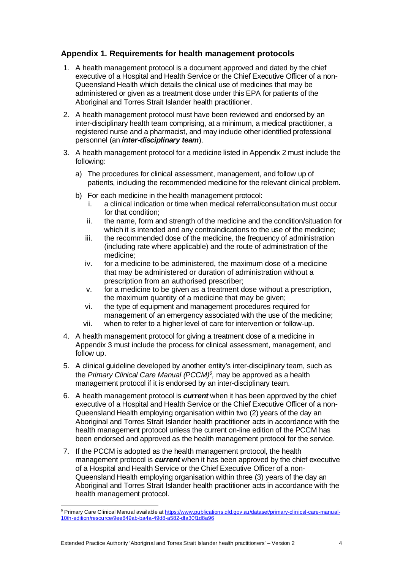### **Appendix 1. Requirements for health management protocols**

- 1. A health management protocol is a document approved and dated by the chief executive of a Hospital and Health Service or the Chief Executive Officer of a non-Queensland Health which details the clinical use of medicines that may be administered or given as a treatment dose under this EPA for patients of the Aboriginal and Torres Strait Islander health practitioner.
- 2. A health management protocol must have been reviewed and endorsed by an inter-disciplinary health team comprising, at a minimum, a medical practitioner, a registered nurse and a pharmacist, and may include other identified professional personnel (an *inter-disciplinary team*).
- 3. A health management protocol for a medicine listed in Appendix 2 must include the following:
	- a) The procedures for clinical assessment, management, and follow up of patients, including the recommended medicine for the relevant clinical problem.
	- b) For each medicine in the health management protocol:
		- i. a clinical indication or time when medical referral/consultation must occur for that condition:
		- ii. the name, form and strength of the medicine and the condition/situation for which it is intended and any contraindications to the use of the medicine:
		- iii. the recommended dose of the medicine, the frequency of administration (including rate where applicable) and the route of administration of the medicine;
		- iv. for a medicine to be administered, the maximum dose of a medicine that may be administered or duration of administration without a prescription from an authorised prescriber;
		- v. for a medicine to be given as a treatment dose without a prescription, the maximum quantity of a medicine that may be given;
		- vi. the type of equipment and management procedures required for management of an emergency associated with the use of the medicine;
		- vii. when to refer to a higher level of care for intervention or follow-up.
- 4. A health management protocol for giving a treatment dose of a medicine in Appendix 3 must include the process for clinical assessment, management, and follow up.
- 5. A clinical guideline developed by another entity's inter-disciplinary team, such as the *Primary Clinical Care Manual (PCCM)[6](#page-3-0),* may be approved as a health management protocol if it is endorsed by an inter-disciplinary team.
- 6. A health management protocol is *current* when it has been approved by the chief executive of a Hospital and Health Service or the Chief Executive Officer of a non-Queensland Health employing organisation within two (2) years of the day an Aboriginal and Torres Strait Islander health practitioner acts in accordance with the health management protocol unless the current on-line edition of the PCCM has been endorsed and approved as the health management protocol for the service.
- 7. If the PCCM is adopted as the health management protocol, the health management protocol is *current* when it has been approved by the chief executive of a Hospital and Health Service or the Chief Executive Officer of a non-Queensland Health employing organisation within three (3) years of the day an Aboriginal and Torres Strait Islander health practitioner acts in accordance with the health management protocol.

<span id="page-3-0"></span><sup>&</sup>lt;sup>6</sup> Primary Care Clinical Manual available at **https://www.publications.qld.gov.au/dataset/primary-clinical-care-manual-**[10th-edition/resource/9ee849ab-ba4a-49d8-a582-dfa30f1d8a96](https://www.publications.qld.gov.au/dataset/primary-clinical-care-manual-10th-edition/resource/9ee849ab-ba4a-49d8-a582-dfa30f1d8a96)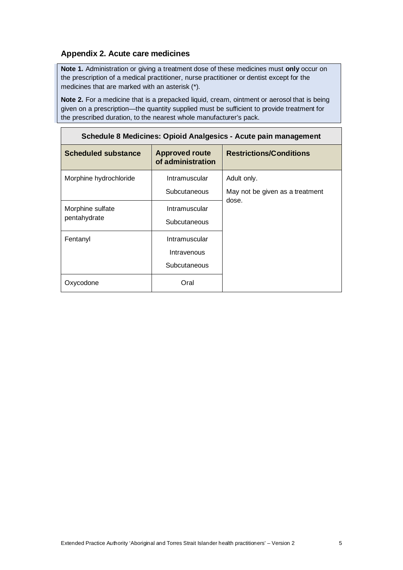## **Appendix 2. Acute care medicines**

**Note 1.** Administration or giving a treatment dose of these medicines must **only** occur on the prescription of a medical practitioner, nurse practitioner or dentist except for the medicines that are marked with an asterisk (\*).

**Note 2.** For a medicine that is a prepacked liquid, cream, ointment or aerosol that is being given on a prescription—the quantity supplied must be sufficient to provide treatment for the prescribed duration, to the nearest whole manufacturer's pack.

| Schedule 8 Medicines: Opiold Analgesics - Acute pain management |                                              |                                                |  |  |
|-----------------------------------------------------------------|----------------------------------------------|------------------------------------------------|--|--|
| <b>Scheduled substance</b>                                      | <b>Approved route</b><br>of administration   | <b>Restrictions/Conditions</b>                 |  |  |
| Morphine hydrochloride                                          | Intramuscular<br>Subcutaneous                | Adult only.<br>May not be given as a treatment |  |  |
| Morphine sulfate<br>pentahydrate                                | Intramuscular<br>Subcutaneous                | dose.                                          |  |  |
| Fentanyl                                                        | Intramuscular<br>Intravenous<br>Subcutaneous |                                                |  |  |
| Oxycodone                                                       | Oral                                         |                                                |  |  |

## **Schedule 8 Medicines: Opioid Analgesics - Acute pain management**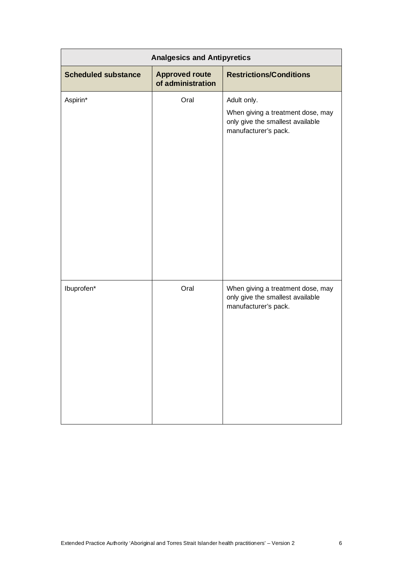| <b>Analgesics and Antipyretics</b> |                                            |                                                                                                              |  |
|------------------------------------|--------------------------------------------|--------------------------------------------------------------------------------------------------------------|--|
| <b>Scheduled substance</b>         | <b>Approved route</b><br>of administration | <b>Restrictions/Conditions</b>                                                                               |  |
| Aspirin*                           | Oral                                       | Adult only.<br>When giving a treatment dose, may<br>only give the smallest available<br>manufacturer's pack. |  |
| Ibuprofen*                         | Oral                                       | When giving a treatment dose, may<br>only give the smallest available<br>manufacturer's pack.                |  |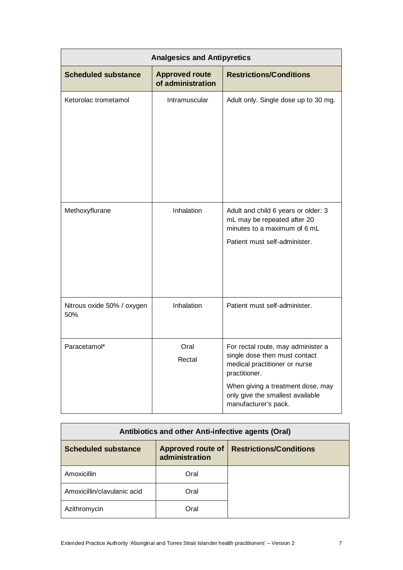| <b>Analgesics and Antipyretics</b> |                                            |                                                                                                                                                                                                                        |  |
|------------------------------------|--------------------------------------------|------------------------------------------------------------------------------------------------------------------------------------------------------------------------------------------------------------------------|--|
| <b>Scheduled substance</b>         | <b>Approved route</b><br>of administration | <b>Restrictions/Conditions</b>                                                                                                                                                                                         |  |
| Ketorolac trometamol               | Intramuscular                              | Adult only. Single dose up to 30 mg.                                                                                                                                                                                   |  |
| Methoxyflurane                     | Inhalation                                 | Adult and child 6 years or older: 3<br>mL may be repeated after 20<br>minutes to a maximum of 6 mL<br>Patient must self-administer.                                                                                    |  |
| Nitrous oxide 50% / oxygen<br>50%  | Inhalation                                 | Patient must self-administer.                                                                                                                                                                                          |  |
| Paracetamol*                       | Oral<br>Rectal                             | For rectal route, may administer a<br>single dose then must contact<br>medical practitioner or nurse<br>practitioner.<br>When giving a treatment dose, may<br>only give the smallest available<br>manufacturer's pack. |  |

| Antibiotics and other Anti-infective agents (Oral) |                                     |                                |  |
|----------------------------------------------------|-------------------------------------|--------------------------------|--|
| <b>Scheduled substance</b>                         | Approved route of<br>administration | <b>Restrictions/Conditions</b> |  |
| Amoxicillin                                        | Oral                                |                                |  |
| Amoxicillin/clavulanic acid                        | Oral                                |                                |  |
| Azithromycin                                       | Oral                                |                                |  |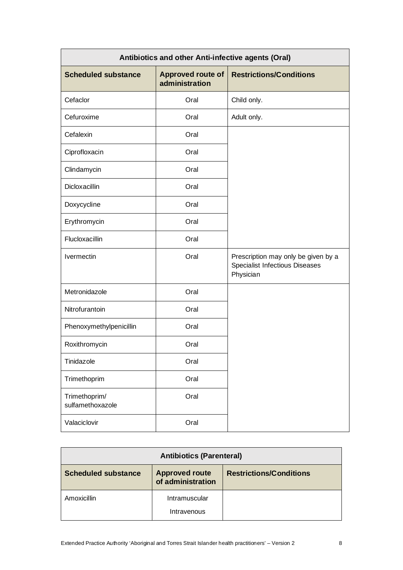| Antibiotics and other Anti-infective agents (Oral) |                                            |                                                                                    |  |
|----------------------------------------------------|--------------------------------------------|------------------------------------------------------------------------------------|--|
| <b>Scheduled substance</b>                         | <b>Approved route of</b><br>administration | <b>Restrictions/Conditions</b>                                                     |  |
| Cefaclor                                           | Oral                                       | Child only.                                                                        |  |
| Cefuroxime                                         | Oral                                       | Adult only.                                                                        |  |
| Cefalexin                                          | Oral                                       |                                                                                    |  |
| Ciprofloxacin                                      | Oral                                       |                                                                                    |  |
| Clindamycin                                        | Oral                                       |                                                                                    |  |
| <b>Dicloxacillin</b>                               | Oral                                       |                                                                                    |  |
| Doxycycline                                        | Oral                                       |                                                                                    |  |
| Erythromycin                                       | Oral                                       |                                                                                    |  |
| Flucloxacillin                                     | Oral                                       |                                                                                    |  |
| Ivermectin                                         | Oral                                       | Prescription may only be given by a<br>Specialist Infectious Diseases<br>Physician |  |
| Metronidazole                                      | Oral                                       |                                                                                    |  |
| Nitrofurantoin                                     | Oral                                       |                                                                                    |  |
| Phenoxymethylpenicillin                            | Oral                                       |                                                                                    |  |
| Roxithromycin                                      | Oral                                       |                                                                                    |  |
| Tinidazole                                         | Oral                                       |                                                                                    |  |
| Trimethoprim                                       | Oral                                       |                                                                                    |  |
| Trimethoprim/<br>sulfamethoxazole                  | Oral                                       |                                                                                    |  |
| Valaciclovir                                       | Oral                                       |                                                                                    |  |

| <b>Antibiotics (Parenteral)</b>                                                                            |                              |  |  |
|------------------------------------------------------------------------------------------------------------|------------------------------|--|--|
| <b>Scheduled substance</b><br><b>Approved route</b><br><b>Restrictions/Conditions</b><br>of administration |                              |  |  |
| Amoxicillin                                                                                                | Intramuscular<br>Intravenous |  |  |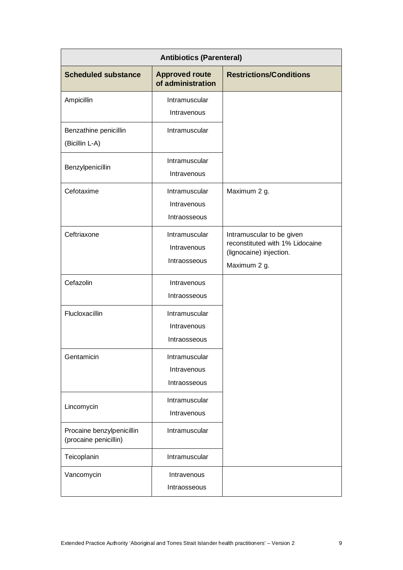| <b>Antibiotics (Parenteral)</b>                    |                                              |                                                                                                         |  |  |
|----------------------------------------------------|----------------------------------------------|---------------------------------------------------------------------------------------------------------|--|--|
| <b>Scheduled substance</b>                         | <b>Approved route</b><br>of administration   | <b>Restrictions/Conditions</b>                                                                          |  |  |
| Ampicillin                                         | Intramuscular                                |                                                                                                         |  |  |
|                                                    | Intravenous                                  |                                                                                                         |  |  |
| Benzathine penicillin<br>(Bicillin L-A)            | Intramuscular                                |                                                                                                         |  |  |
| Benzylpenicillin                                   | Intramuscular<br>Intravenous                 |                                                                                                         |  |  |
| Cefotaxime                                         | Intramuscular<br>Intravenous<br>Intraosseous | Maximum 2 g.                                                                                            |  |  |
| Ceftriaxone                                        | Intramuscular<br>Intravenous<br>Intraosseous | Intramuscular to be given<br>reconstituted with 1% Lidocaine<br>(lignocaine) injection.<br>Maximum 2 g. |  |  |
| Cefazolin                                          | Intravenous<br>Intraosseous                  |                                                                                                         |  |  |
| Flucloxacillin                                     | Intramuscular<br>Intravenous<br>Intraosseous |                                                                                                         |  |  |
| Gentamicin                                         | Intramuscular<br>Intravenous<br>Intraosseous |                                                                                                         |  |  |
| Lincomycin                                         | Intramuscular<br>Intravenous                 |                                                                                                         |  |  |
| Procaine benzylpenicillin<br>(procaine penicillin) | Intramuscular                                |                                                                                                         |  |  |
| Teicoplanin                                        | Intramuscular                                |                                                                                                         |  |  |
| Vancomycin                                         | Intravenous                                  |                                                                                                         |  |  |
|                                                    | Intraosseous                                 |                                                                                                         |  |  |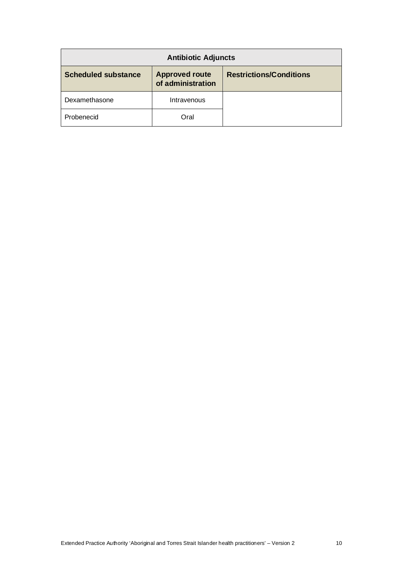| <b>Antibiotic Adjuncts</b> |                                            |                                |  |
|----------------------------|--------------------------------------------|--------------------------------|--|
| <b>Scheduled substance</b> | <b>Approved route</b><br>of administration | <b>Restrictions/Conditions</b> |  |
| Dexamethasone              | Intravenous                                |                                |  |
| Probenecid                 | Oral                                       |                                |  |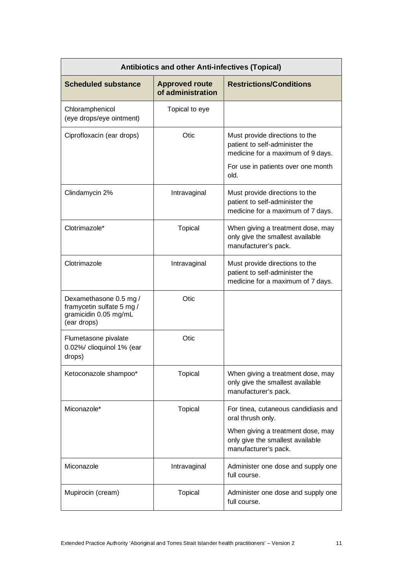| <b>Antibiotics and other Anti-infectives (Topical)</b>                                      |                                            |                                                                                                                                                     |  |
|---------------------------------------------------------------------------------------------|--------------------------------------------|-----------------------------------------------------------------------------------------------------------------------------------------------------|--|
| <b>Scheduled substance</b>                                                                  | <b>Approved route</b><br>of administration | <b>Restrictions/Conditions</b>                                                                                                                      |  |
| Chloramphenicol<br>(eye drops/eye ointment)                                                 | Topical to eye                             |                                                                                                                                                     |  |
| Ciprofloxacin (ear drops)                                                                   | Otic                                       | Must provide directions to the<br>patient to self-administer the<br>medicine for a maximum of 9 days.<br>For use in patients over one month<br>old. |  |
| Clindamycin 2%                                                                              | Intravaginal                               | Must provide directions to the<br>patient to self-administer the<br>medicine for a maximum of 7 days.                                               |  |
| Clotrimazole*                                                                               | <b>Topical</b>                             | When giving a treatment dose, may<br>only give the smallest available<br>manufacturer's pack.                                                       |  |
| Clotrimazole                                                                                | Intravaginal                               | Must provide directions to the<br>patient to self-administer the<br>medicine for a maximum of 7 days.                                               |  |
| Dexamethasone 0.5 mg /<br>framycetin sulfate 5 mg /<br>gramicidin 0.05 mg/mL<br>(ear drops) | Otic                                       |                                                                                                                                                     |  |
| Flumetasone pivalate<br>0.02%/ clioquinol 1% (ear<br>drops)                                 | Otic                                       |                                                                                                                                                     |  |
| Ketoconazole shampoo*                                                                       | <b>Topical</b>                             | When giving a treatment dose, may<br>only give the smallest available<br>manufacturer's pack.                                                       |  |
| Miconazole*                                                                                 | <b>Topical</b>                             | For tinea, cutaneous candidiasis and<br>oral thrush only.                                                                                           |  |
|                                                                                             |                                            | When giving a treatment dose, may<br>only give the smallest available<br>manufacturer's pack.                                                       |  |
| Miconazole                                                                                  | Intravaginal                               | Administer one dose and supply one<br>full course.                                                                                                  |  |
| Mupirocin (cream)                                                                           | <b>Topical</b>                             | Administer one dose and supply one<br>full course.                                                                                                  |  |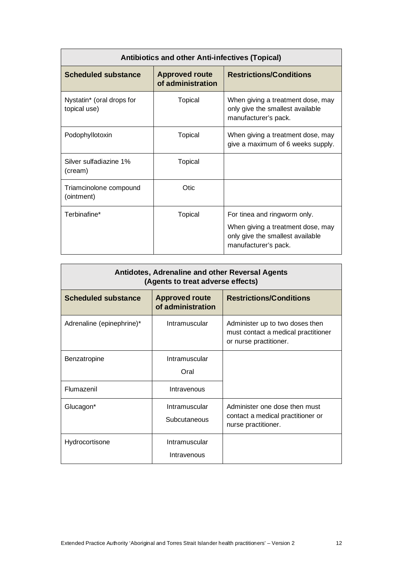| <b>Antibiotics and other Anti-infectives (Topical)</b> |                                            |                                                                                                                               |  |
|--------------------------------------------------------|--------------------------------------------|-------------------------------------------------------------------------------------------------------------------------------|--|
| <b>Scheduled substance</b>                             | <b>Approved route</b><br>of administration | <b>Restrictions/Conditions</b>                                                                                                |  |
| Nystatin* (oral drops for<br>topical use)              | Topical                                    | When giving a treatment dose, may<br>only give the smallest available<br>manufacturer's pack.                                 |  |
| Podophyllotoxin                                        | Topical                                    | When giving a treatment dose, may<br>give a maximum of 6 weeks supply.                                                        |  |
| Silver sulfadiazine 1%<br>(cream)                      | Topical                                    |                                                                                                                               |  |
| Triamcinolone compound<br>(ointment)                   | Otic.                                      |                                                                                                                               |  |
| Terbinafine*                                           | Topical                                    | For tinea and ringworm only.<br>When giving a treatment dose, may<br>only give the smallest available<br>manufacturer's pack. |  |

| Antidotes, Adrenaline and other Reversal Agents<br>(Agents to treat adverse effects) |                                            |                                                                                                  |  |
|--------------------------------------------------------------------------------------|--------------------------------------------|--------------------------------------------------------------------------------------------------|--|
| <b>Scheduled substance</b>                                                           | <b>Approved route</b><br>of administration | <b>Restrictions/Conditions</b>                                                                   |  |
| Adrenaline (epinephrine)*                                                            | Intramuscular                              | Administer up to two doses then<br>must contact a medical practitioner<br>or nurse practitioner. |  |
| Benzatropine                                                                         | Intramuscular<br>Oral                      |                                                                                                  |  |
| Flumazenil                                                                           | Intravenous                                |                                                                                                  |  |
| Glucagon*                                                                            | Intramuscular<br>Subcutaneous              | Administer one dose then must<br>contact a medical practitioner or<br>nurse practitioner.        |  |
| Hydrocortisone                                                                       | Intramuscular<br>Intravenous               |                                                                                                  |  |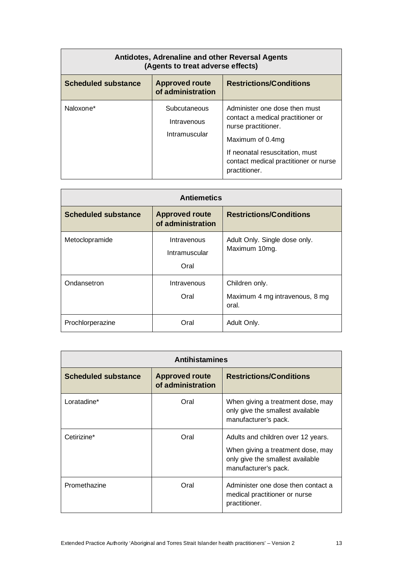| Antidotes, Adrenaline and other Reversal Agents<br>(Agents to treat adverse effects) |                                              |                                                                                                                                                                                                            |
|--------------------------------------------------------------------------------------|----------------------------------------------|------------------------------------------------------------------------------------------------------------------------------------------------------------------------------------------------------------|
| <b>Scheduled substance</b>                                                           | <b>Approved route</b><br>of administration   | <b>Restrictions/Conditions</b>                                                                                                                                                                             |
| Naloxone*                                                                            | Subcutaneous<br>Intravenous<br>Intramuscular | Administer one dose then must<br>contact a medical practitioner or<br>nurse practitioner.<br>Maximum of 0.4mg<br>If neonatal resuscitation, must<br>contact medical practitioner or nurse<br>practitioner. |

| <b>Antiemetics</b>         |                                            |                                                           |
|----------------------------|--------------------------------------------|-----------------------------------------------------------|
| <b>Scheduled substance</b> | <b>Approved route</b><br>of administration | <b>Restrictions/Conditions</b>                            |
| Metoclopramide             | Intravenous<br>Intramuscular<br>Oral       | Adult Only. Single dose only.<br>Maximum 10mg.            |
| Ondansetron                | Intravenous<br>Oral                        | Children only.<br>Maximum 4 mg intravenous, 8 mg<br>oral. |
| Prochlorperazine           | Oral                                       | Adult Only.                                               |

| <b>Antihistamines</b>      |                                            |                                                                                                                                     |
|----------------------------|--------------------------------------------|-------------------------------------------------------------------------------------------------------------------------------------|
| <b>Scheduled substance</b> | <b>Approved route</b><br>of administration | <b>Restrictions/Conditions</b>                                                                                                      |
| Loratadine*                | Oral                                       | When giving a treatment dose, may<br>only give the smallest available<br>manufacturer's pack.                                       |
| Cetirizine*                | Oral                                       | Adults and children over 12 years.<br>When giving a treatment dose, may<br>only give the smallest available<br>manufacturer's pack. |
| Promethazine               | Oral                                       | Administer one dose then contact a<br>medical practitioner or nurse<br>practitioner.                                                |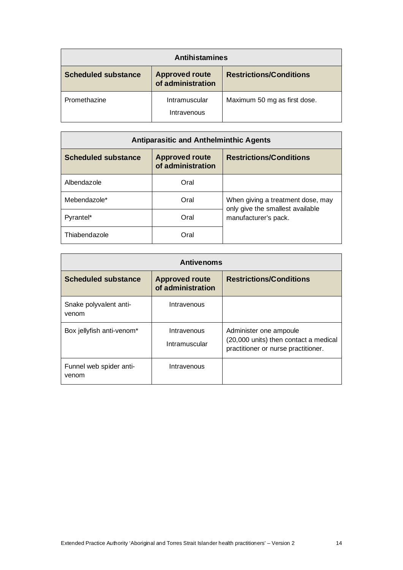| <b>Antihistamines</b>      |                                            |                                |
|----------------------------|--------------------------------------------|--------------------------------|
| <b>Scheduled substance</b> | <b>Approved route</b><br>of administration | <b>Restrictions/Conditions</b> |
| Promethazine               | Intramuscular<br>Intravenous               | Maximum 50 mg as first dose.   |

| <b>Antiparasitic and Anthelminthic Agents</b> |                                            |                                                                       |
|-----------------------------------------------|--------------------------------------------|-----------------------------------------------------------------------|
| <b>Scheduled substance</b>                    | <b>Approved route</b><br>of administration | <b>Restrictions/Conditions</b>                                        |
| Albendazole                                   | Oral                                       |                                                                       |
| Mebendazole*                                  | Oral                                       | When giving a treatment dose, may<br>only give the smallest available |
| Pyrantel*                                     | Oral                                       | manufacturer's pack.                                                  |
| Thiabendazole                                 | Oral                                       |                                                                       |

| <b>Antivenoms</b>                |                                            |                                                                                                        |
|----------------------------------|--------------------------------------------|--------------------------------------------------------------------------------------------------------|
| <b>Scheduled substance</b>       | <b>Approved route</b><br>of administration | <b>Restrictions/Conditions</b>                                                                         |
| Snake polyvalent anti-<br>venom  | Intravenous                                |                                                                                                        |
| Box jellyfish anti-venom*        | Intravenous<br>Intramuscular               | Administer one ampoule<br>(20,000 units) then contact a medical<br>practitioner or nurse practitioner. |
| Funnel web spider anti-<br>venom | Intravenous                                |                                                                                                        |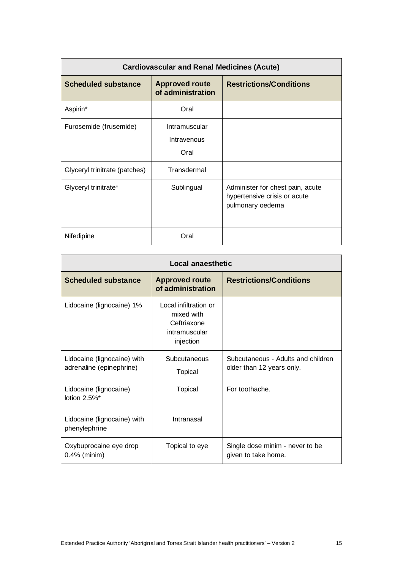| <b>Cardiovascular and Renal Medicines (Acute)</b> |                                            |                                                                                      |
|---------------------------------------------------|--------------------------------------------|--------------------------------------------------------------------------------------|
| <b>Scheduled substance</b>                        | <b>Approved route</b><br>of administration | <b>Restrictions/Conditions</b>                                                       |
| Aspirin*                                          | Oral                                       |                                                                                      |
| Furosemide (frusemide)                            | Intramuscular<br>Intravenous<br>Oral       |                                                                                      |
| Glyceryl trinitrate (patches)                     | Transdermal                                |                                                                                      |
| Glyceryl trinitrate*                              | Sublingual                                 | Administer for chest pain, acute<br>hypertensive crisis or acute<br>pulmonary oedema |
| Nifedipine                                        | Oral                                       |                                                                                      |

| <b>Local anaesthetic</b>                                |                                                                                  |                                                                 |
|---------------------------------------------------------|----------------------------------------------------------------------------------|-----------------------------------------------------------------|
| <b>Scheduled substance</b>                              | <b>Approved route</b><br>of administration                                       | <b>Restrictions/Conditions</b>                                  |
| Lidocaine (lignocaine) 1%                               | Local infiltration or<br>mixed with<br>Ceftriaxone<br>intramuscular<br>injection |                                                                 |
| Lidocaine (lignocaine) with<br>adrenaline (epinephrine) | Subcutaneous<br><b>Topical</b>                                                   | Subcutaneous - Adults and children<br>older than 12 years only. |
| Lidocaine (lignocaine)<br>lotion 2.5%*                  | Topical                                                                          | For toothache.                                                  |
| Lidocaine (lignocaine) with<br>phenylephrine            | Intranasal                                                                       |                                                                 |
| Oxybuprocaine eye drop<br>$0.4\%$ (minim)               | Topical to eye                                                                   | Single dose minim - never to be<br>given to take home.          |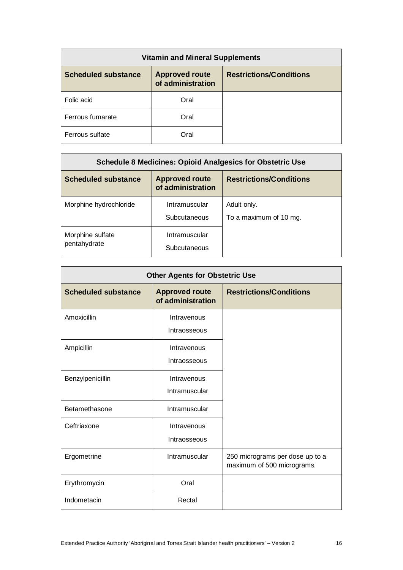| <b>Vitamin and Mineral Supplements</b> |                                            |                                |
|----------------------------------------|--------------------------------------------|--------------------------------|
| <b>Scheduled substance</b>             | <b>Approved route</b><br>of administration | <b>Restrictions/Conditions</b> |
| Folic acid                             | Oral                                       |                                |
| Ferrous fumarate                       | Oral                                       |                                |
| Ferrous sulfate                        | Oral                                       |                                |

| <b>Schedule 8 Medicines: Opioid Analgesics for Obstetric Use</b> |                                            |                                       |
|------------------------------------------------------------------|--------------------------------------------|---------------------------------------|
| <b>Scheduled substance</b>                                       | <b>Approved route</b><br>of administration | <b>Restrictions/Conditions</b>        |
| Morphine hydrochloride                                           | Intramuscular<br>Subcutaneous              | Adult only.<br>To a maximum of 10 mg. |
| Morphine sulfate<br>pentahydrate                                 | Intramuscular<br>Subcutaneous              |                                       |

| <b>Other Agents for Obstetric Use</b> |                                            |                                                               |
|---------------------------------------|--------------------------------------------|---------------------------------------------------------------|
| <b>Scheduled substance</b>            | <b>Approved route</b><br>of administration | <b>Restrictions/Conditions</b>                                |
| Amoxicillin                           | Intravenous<br>Intraosseous                |                                                               |
| Ampicillin                            | Intravenous<br>Intraosseous                |                                                               |
| Benzylpenicillin                      | Intravenous<br>Intramuscular               |                                                               |
| Betamethasone                         | Intramuscular                              |                                                               |
| Ceftriaxone                           | Intravenous<br>Intraosseous                |                                                               |
| Ergometrine                           | Intramuscular                              | 250 micrograms per dose up to a<br>maximum of 500 micrograms. |
| Erythromycin                          | Oral                                       |                                                               |
| Indometacin                           | Rectal                                     |                                                               |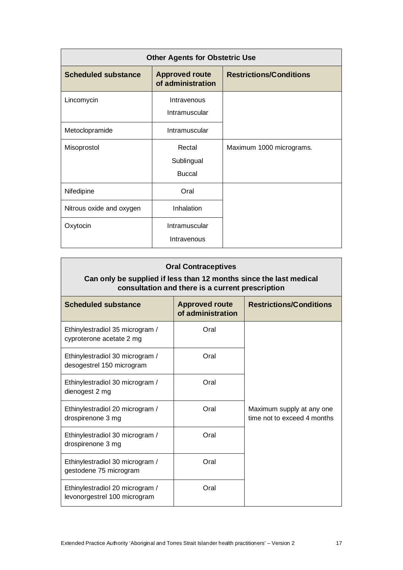| <b>Other Agents for Obstetric Use</b> |                                            |                                |
|---------------------------------------|--------------------------------------------|--------------------------------|
| <b>Scheduled substance</b>            | <b>Approved route</b><br>of administration | <b>Restrictions/Conditions</b> |
| Lincomycin                            | Intravenous<br>Intramuscular               |                                |
| Metoclopramide                        | Intramuscular                              |                                |
| Misoprostol                           | Rectal<br>Sublingual<br><b>Buccal</b>      | Maximum 1000 micrograms.       |
| Nifedipine                            | Oral                                       |                                |
| Nitrous oxide and oxygen              | Inhalation                                 |                                |
| Oxytocin                              | Intramuscular<br>Intravenous               |                                |

## **Oral Contraceptives**

### **Can only be supplied if less than 12 months since the last medical consultation and there is a current prescription**

| <b>Scheduled substance</b>                                      | <b>Approved route</b><br>of administration | <b>Restrictions/Conditions</b>                           |
|-----------------------------------------------------------------|--------------------------------------------|----------------------------------------------------------|
| Ethinylestradiol 35 microgram /<br>cyproterone acetate 2 mg     | Oral                                       |                                                          |
| Ethinylestradiol 30 microgram /<br>desogestrel 150 microgram    | Oral                                       |                                                          |
| Ethinylestradiol 30 microgram /<br>dienogest 2 mg               | Oral                                       |                                                          |
| Ethinylestradiol 20 microgram /<br>drospirenone 3 mg            | Oral                                       | Maximum supply at any one<br>time not to exceed 4 months |
| Ethinylestradiol 30 microgram /<br>drospirenone 3 mg            | Oral                                       |                                                          |
| Ethinylestradiol 30 microgram /<br>gestodene 75 microgram       | Oral                                       |                                                          |
| Ethinylestradiol 20 microgram /<br>levonorgestrel 100 microgram | Oral                                       |                                                          |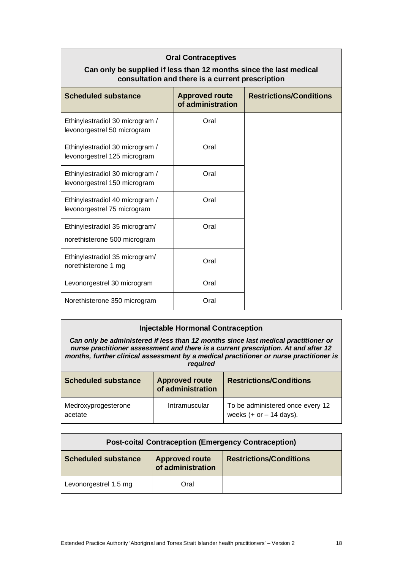| <b>Oral Contraceptives</b><br>Can only be supplied if less than 12 months since the last medical<br>consultation and there is a current prescription |                                            |                                |
|------------------------------------------------------------------------------------------------------------------------------------------------------|--------------------------------------------|--------------------------------|
| <b>Scheduled substance</b>                                                                                                                           | <b>Approved route</b><br>of administration | <b>Restrictions/Conditions</b> |
| Ethinylestradiol 30 microgram /<br>levonorgestrel 50 microgram                                                                                       | Oral                                       |                                |
| Ethinylestradiol 30 microgram /<br>levonorgestrel 125 microgram                                                                                      | Oral                                       |                                |
| Ethinylestradiol 30 microgram /<br>levonorgestrel 150 microgram                                                                                      | Oral                                       |                                |
| Ethinylestradiol 40 microgram /<br>levonorgestrel 75 microgram                                                                                       | Oral                                       |                                |
| Ethinylestradiol 35 microgram/<br>norethisterone 500 microgram                                                                                       | Oral                                       |                                |
| Ethinylestradiol 35 microgram/<br>norethisterone 1 mg                                                                                                | Oral                                       |                                |
| Levonorgestrel 30 microgram                                                                                                                          | Oral                                       |                                |
| Norethisterone 350 microgram                                                                                                                         | Oral                                       |                                |

#### **Injectable Hormonal Contraception**

*Can only be administered if less than 12 months since last medical practitioner or nurse practitioner assessment and there is a current prescription. At and after 12 months, further clinical assessment by a medical practitioner or nurse practitioner is required*

| <b>Scheduled substance</b>     | <b>Approved route</b><br>of administration | <b>Restrictions/Conditions</b>                                        |
|--------------------------------|--------------------------------------------|-----------------------------------------------------------------------|
| Medroxyprogesterone<br>acetate | Intramuscular                              | To be administered once every 12<br>weeks $(+ or - 14 \text{ days}).$ |

| <b>Post-coital Contraception (Emergency Contraception)</b> |                                            |                                |
|------------------------------------------------------------|--------------------------------------------|--------------------------------|
| <b>Scheduled substance</b>                                 | <b>Approved route</b><br>of administration | <b>Restrictions/Conditions</b> |
| Levonorgestrel 1.5 mg                                      | Oral                                       |                                |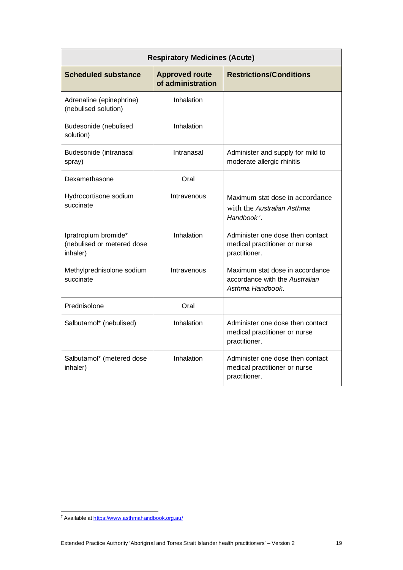| <b>Respiratory Medicines (Acute)</b>                           |                                            |                                                                                          |
|----------------------------------------------------------------|--------------------------------------------|------------------------------------------------------------------------------------------|
| <b>Scheduled substance</b>                                     | <b>Approved route</b><br>of administration | <b>Restrictions/Conditions</b>                                                           |
| Adrenaline (epinephrine)<br>(nebulised solution)               | Inhalation                                 |                                                                                          |
| Budesonide (nebulised<br>solution)                             | Inhalation                                 |                                                                                          |
| Budesonide (intranasal<br>spray)                               | Intranasal                                 | Administer and supply for mild to<br>moderate allergic rhinitis                          |
| Dexamethasone                                                  | Oral                                       |                                                                                          |
| Hydrocortisone sodium<br>succinate                             | Intravenous                                | Maximum stat dose in accordance<br>with the Australian Asthma<br>Handbook <sup>7</sup> . |
| Ipratropium bromide*<br>(nebulised or metered dose<br>inhaler) | Inhalation                                 | Administer one dose then contact<br>medical practitioner or nurse<br>practitioner.       |
| Methylprednisolone sodium<br>succinate                         | Intravenous                                | Maximum stat dose in accordance<br>accordance with the Australian<br>Asthma Handbook.    |
| Prednisolone                                                   | Oral                                       |                                                                                          |
| Salbutamol* (nebulised)                                        | Inhalation                                 | Administer one dose then contact<br>medical practitioner or nurse<br>practitioner.       |
| Salbutamol* (metered dose<br>inhaler)                          | Inhalation                                 | Administer one dose then contact<br>medical practitioner or nurse<br>practitioner.       |

<span id="page-18-0"></span><sup>7</sup> Available a[t https://www.asthmahandbook.org.au/](https://www.asthmahandbook.org.au/)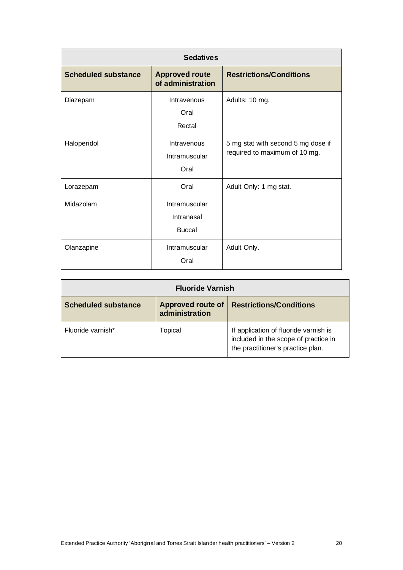| <b>Sedatives</b>           |                                              |                                                                     |
|----------------------------|----------------------------------------------|---------------------------------------------------------------------|
| <b>Scheduled substance</b> | <b>Approved route</b><br>of administration   | <b>Restrictions/Conditions</b>                                      |
| Diazepam                   | Intravenous<br>Oral<br>Rectal                | Adults: 10 mg.                                                      |
| Haloperidol                | Intravenous<br>Intramuscular<br>Oral         | 5 mg stat with second 5 mg dose if<br>required to maximum of 10 mg. |
| Lorazepam                  | Oral                                         | Adult Only: 1 mg stat.                                              |
| Midazolam                  | Intramuscular<br>Intranasal<br><b>Buccal</b> |                                                                     |
| Olanzapine                 | Intramuscular<br>Oral                        | Adult Only.                                                         |

| <b>Fluoride Varnish</b>    |                                            |                                                                                                                    |
|----------------------------|--------------------------------------------|--------------------------------------------------------------------------------------------------------------------|
| <b>Scheduled substance</b> | <b>Approved route of</b><br>administration | <b>Restrictions/Conditions</b>                                                                                     |
| Fluoride varnish*          | Topical                                    | If application of fluoride varnish is<br>included in the scope of practice in<br>the practitioner's practice plan. |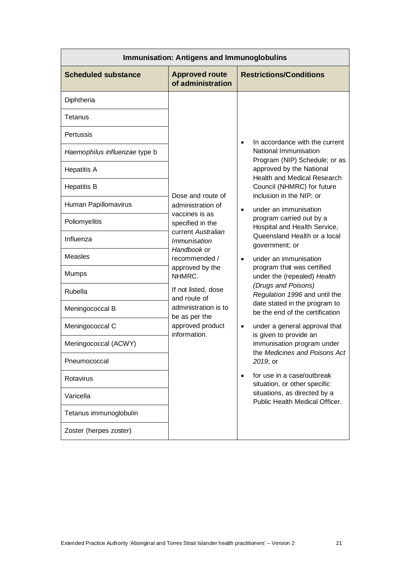| <b>Immunisation: Antigens and Immunoglobulins</b> |                                            |                                                                                                                   |
|---------------------------------------------------|--------------------------------------------|-------------------------------------------------------------------------------------------------------------------|
| <b>Scheduled substance</b>                        | <b>Approved route</b><br>of administration | <b>Restrictions/Conditions</b>                                                                                    |
| Diphtheria                                        |                                            |                                                                                                                   |
| Tetanus                                           |                                            |                                                                                                                   |
| Pertussis                                         |                                            | In accordance with the current<br>$\bullet$                                                                       |
| Haemophilus influenzae type b                     |                                            | National Immunisation<br>Program (NIP) Schedule; or as                                                            |
| <b>Hepatitis A</b>                                |                                            | approved by the National<br>Health and Medical Research                                                           |
| <b>Hepatitis B</b>                                | Dose and route of                          | Council (NHMRC) for future<br>inclusion in the NIP; or                                                            |
| Human Papillomavirus                              | administration of<br>vaccines is as        | under an immunisation<br>$\bullet$                                                                                |
| Poliomyelitis                                     | specified in the                           | program carried out by a<br>Hospital and Health Service,                                                          |
| Influenza                                         | current Australian<br><i>Immunisation</i>  | Queensland Health or a local<br>government; or                                                                    |
| <b>Measles</b>                                    | Handbook or<br>recommended /               | under an immunisation<br>$\bullet$                                                                                |
| Mumps                                             | approved by the<br>NHMRC.                  | program that was certified<br>under the (repealed) Health<br>(Drugs and Poisons)<br>Regulation 1996 and until the |
| Rubella                                           | If not listed, dose<br>and route of        |                                                                                                                   |
| Meningococcal B                                   | administration is to<br>be as per the      | date stated in the program to<br>be the end of the certification                                                  |
| Meningococcal C                                   | approved product<br>information.           | under a general approval that<br>$\bullet$<br>is given to provide an                                              |
| Meningococcal (ACWY)                              |                                            | immunisation program under<br>the Medicines and Poisons Act                                                       |
| Pneumococcal                                      |                                            | 2019; or                                                                                                          |
| Rotavirus                                         |                                            | for use in a case/outbreak<br>situation, or other specific                                                        |
| Varicella                                         |                                            | situations, as directed by a<br>Public Health Medical Officer.                                                    |
| Tetanus immunoglobulin                            |                                            |                                                                                                                   |
| Zoster (herpes zoster)                            |                                            |                                                                                                                   |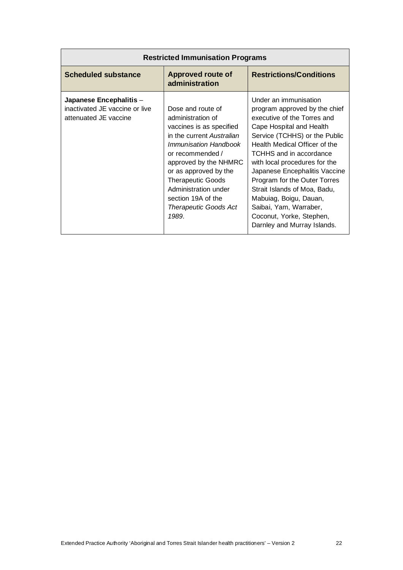| <b>Restricted Immunisation Programs</b>                                            |                                                                                                                                                                                                                                                                                                                   |                                                                                                                                                                                                                                                                                                                                                                                                                                                                 |
|------------------------------------------------------------------------------------|-------------------------------------------------------------------------------------------------------------------------------------------------------------------------------------------------------------------------------------------------------------------------------------------------------------------|-----------------------------------------------------------------------------------------------------------------------------------------------------------------------------------------------------------------------------------------------------------------------------------------------------------------------------------------------------------------------------------------------------------------------------------------------------------------|
| <b>Scheduled substance</b>                                                         | <b>Approved route of</b><br>administration                                                                                                                                                                                                                                                                        | <b>Restrictions/Conditions</b>                                                                                                                                                                                                                                                                                                                                                                                                                                  |
| Japanese Encephalitis -<br>inactivated JE vaccine or live<br>attenuated JE vaccine | Dose and route of<br>administration of<br>vaccines is as specified<br>in the current Australian<br>Immunisation Handbook<br>or recommended /<br>approved by the NHMRC<br>or as approved by the<br><b>Therapeutic Goods</b><br>Administration under<br>section 19A of the<br><b>Therapeutic Goods Act</b><br>1989. | Under an immunisation<br>program approved by the chief<br>executive of the Torres and<br>Cape Hospital and Health<br>Service (TCHHS) or the Public<br>Health Medical Officer of the<br>TCHHS and in accordance<br>with local procedures for the<br>Japanese Encephalitis Vaccine<br>Program for the Outer Torres<br>Strait Islands of Moa, Badu,<br>Mabuiag, Boigu, Dauan,<br>Saibai, Yam, Warraber,<br>Coconut, Yorke, Stephen,<br>Darnley and Murray Islands. |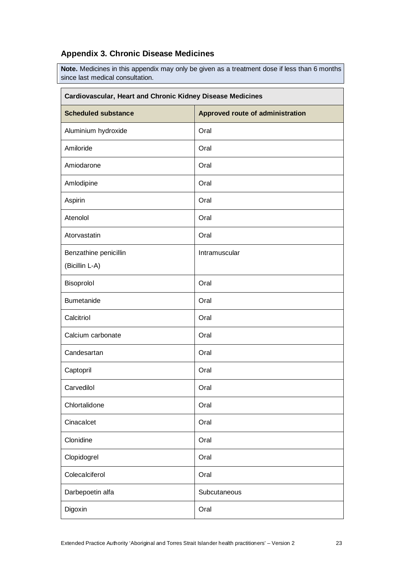## **Appendix 3. Chronic Disease Medicines**

**Note.** Medicines in this appendix may only be given as a treatment dose if less than 6 months since last medical consultation.

| Cardiovascular, Heart and Chronic Kidney Disease Medicines |                                  |  |
|------------------------------------------------------------|----------------------------------|--|
| <b>Scheduled substance</b>                                 | Approved route of administration |  |
| Aluminium hydroxide                                        | Oral                             |  |
| Amiloride                                                  | Oral                             |  |
| Amiodarone                                                 | Oral                             |  |
| Amlodipine                                                 | Oral                             |  |
| Aspirin                                                    | Oral                             |  |
| Atenolol                                                   | Oral                             |  |
| Atorvastatin                                               | Oral                             |  |
| Benzathine penicillin<br>(Bicillin L-A)                    | Intramuscular                    |  |
| Bisoprolol                                                 | Oral                             |  |
| <b>Bumetanide</b>                                          | Oral                             |  |
| Calcitriol                                                 | Oral                             |  |
| Calcium carbonate                                          | Oral                             |  |
| Candesartan                                                | Oral                             |  |
| Captopril                                                  | Oral                             |  |
| Carvedilol                                                 | Oral                             |  |
| Chlortalidone                                              | Oral                             |  |
| Cinacalcet                                                 | Oral                             |  |
| Clonidine                                                  | Oral                             |  |
| Clopidogrel                                                | Oral                             |  |
| Colecalciferol                                             | Oral                             |  |
| Darbepoetin alfa                                           | Subcutaneous                     |  |
| Digoxin                                                    | Oral                             |  |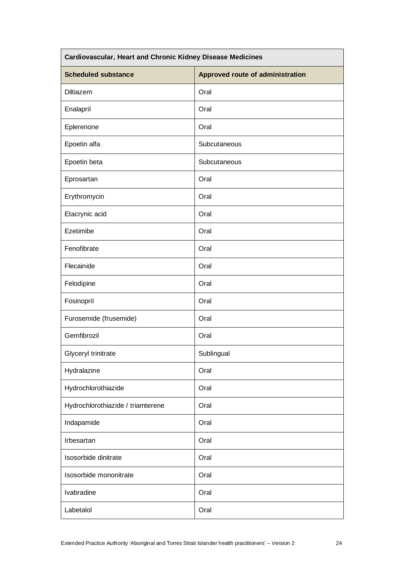| Cardiovascular, Heart and Chronic Kidney Disease Medicines |                                  |  |
|------------------------------------------------------------|----------------------------------|--|
| <b>Scheduled substance</b>                                 | Approved route of administration |  |
| Diltiazem                                                  | Oral                             |  |
| Enalapril                                                  | Oral                             |  |
| Eplerenone                                                 | Oral                             |  |
| Epoetin alfa                                               | Subcutaneous                     |  |
| Epoetin beta                                               | Subcutaneous                     |  |
| Eprosartan                                                 | Oral                             |  |
| Erythromycin                                               | Oral                             |  |
| Etacrynic acid                                             | Oral                             |  |
| Ezetimibe                                                  | Oral                             |  |
| Fenofibrate                                                | Oral                             |  |
| Flecainide                                                 | Oral                             |  |
| Felodipine                                                 | Oral                             |  |
| Fosinopril                                                 | Oral                             |  |
| Furosemide (frusemide)                                     | Oral                             |  |
| Gemfibrozil                                                | Oral                             |  |
| Glyceryl trinitrate                                        | Sublingual                       |  |
| Hydralazine                                                | Oral                             |  |
| Hydrochlorothiazide                                        | Oral                             |  |
| Hydrochlorothiazide / triamterene                          | Oral                             |  |
| Indapamide                                                 | Oral                             |  |
| Irbesartan                                                 | Oral                             |  |
| Isosorbide dinitrate                                       | Oral                             |  |
| Isosorbide mononitrate                                     | Oral                             |  |
| Ivabradine                                                 | Oral                             |  |
| Labetalol                                                  | Oral                             |  |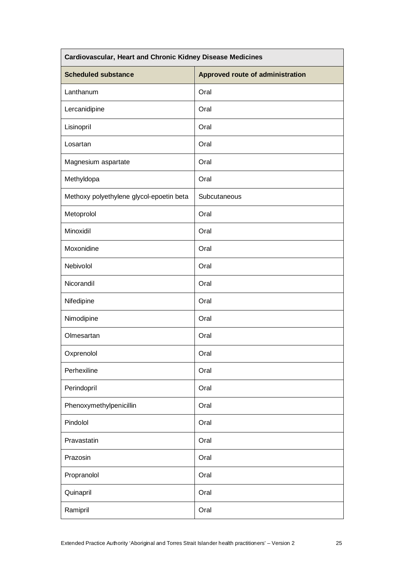| Cardiovascular, Heart and Chronic Kidney Disease Medicines |                                  |  |
|------------------------------------------------------------|----------------------------------|--|
| <b>Scheduled substance</b>                                 | Approved route of administration |  |
| Lanthanum                                                  | Oral                             |  |
| Lercanidipine                                              | Oral                             |  |
| Lisinopril                                                 | Oral                             |  |
| Losartan                                                   | Oral                             |  |
| Magnesium aspartate                                        | Oral                             |  |
| Methyldopa                                                 | Oral                             |  |
| Methoxy polyethylene glycol-epoetin beta                   | Subcutaneous                     |  |
| Metoprolol                                                 | Oral                             |  |
| Minoxidil                                                  | Oral                             |  |
| Moxonidine                                                 | Oral                             |  |
| Nebivolol                                                  | Oral                             |  |
| Nicorandil                                                 | Oral                             |  |
| Nifedipine                                                 | Oral                             |  |
| Nimodipine                                                 | Oral                             |  |
| Olmesartan                                                 | Oral                             |  |
| Oxprenolol                                                 | Oral                             |  |
| Perhexiline                                                | Oral                             |  |
| Perindopril                                                | Oral                             |  |
| Phenoxymethylpenicillin                                    | Oral                             |  |
| Pindolol                                                   | Oral                             |  |
| Pravastatin                                                | Oral                             |  |
| Prazosin                                                   | Oral                             |  |
| Propranolol                                                | Oral                             |  |
| Quinapril                                                  | Oral                             |  |
| Ramipril                                                   | Oral                             |  |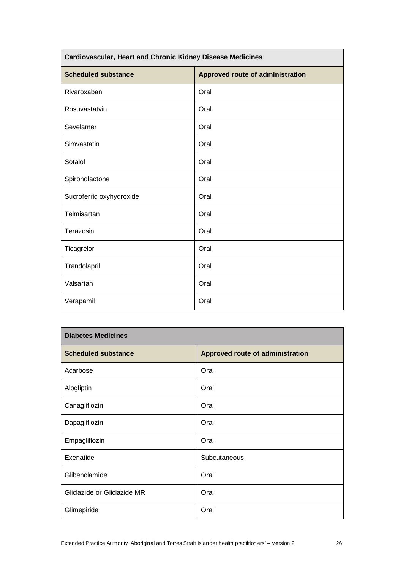| Cardiovascular, Heart and Chronic Kidney Disease Medicines |                                  |  |
|------------------------------------------------------------|----------------------------------|--|
| <b>Scheduled substance</b>                                 | Approved route of administration |  |
| Rivaroxaban                                                | Oral                             |  |
| Rosuvastatvin                                              | Oral                             |  |
| Sevelamer                                                  | Oral                             |  |
| Simvastatin                                                | Oral                             |  |
| Sotalol                                                    | Oral                             |  |
| Spironolactone                                             | Oral                             |  |
| Sucroferric oxyhydroxide                                   | Oral                             |  |
| Telmisartan                                                | Oral                             |  |
| Terazosin                                                  | Oral                             |  |
| Ticagrelor                                                 | Oral                             |  |
| Trandolapril                                               | Oral                             |  |
| Valsartan                                                  | Oral                             |  |
| Verapamil                                                  | Oral                             |  |

| <b>Diabetes Medicines</b>   |                                  |  |
|-----------------------------|----------------------------------|--|
| <b>Scheduled substance</b>  | Approved route of administration |  |
| Acarbose                    | Oral                             |  |
| Alogliptin                  | Oral                             |  |
| Canagliflozin               | Oral                             |  |
| Dapagliflozin               | Oral                             |  |
| Empagliflozin               | Oral                             |  |
| Exenatide                   | Subcutaneous                     |  |
| Glibenclamide               | Oral                             |  |
| Gliclazide or Gliclazide MR | Oral                             |  |
| Glimepiride                 | Oral                             |  |

h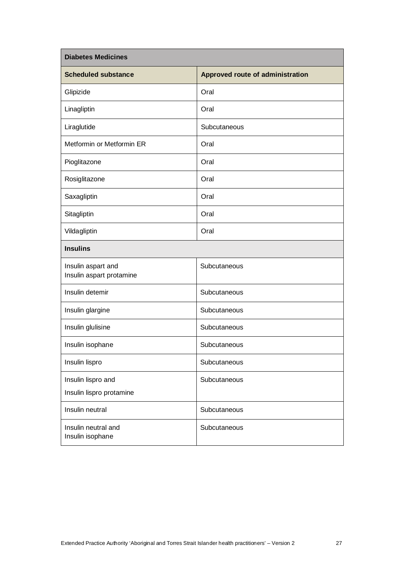| <b>Diabetes Medicines</b>                      |                                  |  |
|------------------------------------------------|----------------------------------|--|
| <b>Scheduled substance</b>                     | Approved route of administration |  |
| Glipizide                                      | Oral                             |  |
| Linagliptin                                    | Oral                             |  |
| Liraglutide                                    | Subcutaneous                     |  |
| Metformin or Metformin ER                      | Oral                             |  |
| Pioglitazone                                   | Oral                             |  |
| Rosiglitazone                                  | Oral                             |  |
| Saxagliptin                                    | Oral                             |  |
| Sitagliptin                                    | Oral                             |  |
| Vildagliptin                                   | Oral                             |  |
| <b>Insulins</b>                                |                                  |  |
| Insulin aspart and<br>Insulin aspart protamine | Subcutaneous                     |  |
| Insulin detemir                                | Subcutaneous                     |  |
| Insulin glargine                               | Subcutaneous                     |  |
| Insulin glulisine                              | Subcutaneous                     |  |
| Insulin isophane                               | Subcutaneous                     |  |
| Insulin lispro                                 | Subcutaneous                     |  |
| Insulin lispro and<br>Insulin lispro protamine | Subcutaneous                     |  |
| Insulin neutral                                | Subcutaneous                     |  |
| Insulin neutral and<br>Insulin isophane        | Subcutaneous                     |  |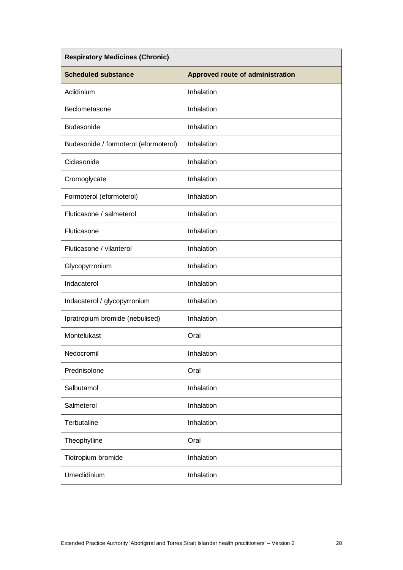| <b>Respiratory Medicines (Chronic)</b> |                                  |  |
|----------------------------------------|----------------------------------|--|
| <b>Scheduled substance</b>             | Approved route of administration |  |
| Aclidinium                             | Inhalation                       |  |
| Beclometasone                          | Inhalation                       |  |
| <b>Budesonide</b>                      | Inhalation                       |  |
| Budesonide / formoterol (eformoterol)  | Inhalation                       |  |
| Ciclesonide                            | Inhalation                       |  |
| Cromoglycate                           | Inhalation                       |  |
| Formoterol (eformoterol)               | Inhalation                       |  |
| Fluticasone / salmeterol               | Inhalation                       |  |
| Fluticasone                            | Inhalation                       |  |
| Fluticasone / vilanterol               | Inhalation                       |  |
| Glycopyrronium                         | Inhalation                       |  |
| Indacaterol                            | Inhalation                       |  |
| Indacaterol / glycopyrronium           | Inhalation                       |  |
| Ipratropium bromide (nebulised)        | Inhalation                       |  |
| Montelukast                            | Oral                             |  |
| Nedocromil                             | Inhalation                       |  |
| Prednisolone                           | Oral                             |  |
| Salbutamol                             | Inhalation                       |  |
| Salmeterol                             | Inhalation                       |  |
| Terbutaline                            | Inhalation                       |  |
| Theophylline                           | Oral                             |  |
| Tiotropium bromide                     | Inhalation                       |  |
| Umeclidinium                           | Inhalation                       |  |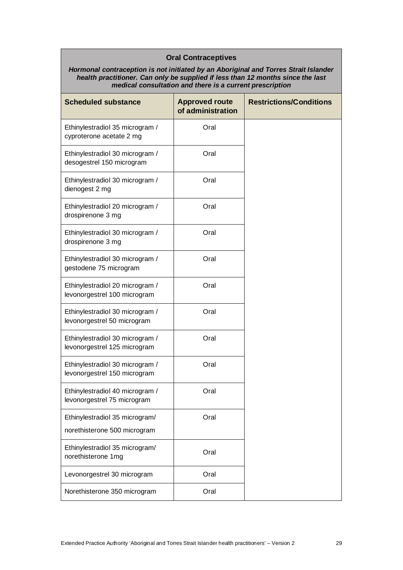| <b>Oral Contraceptives</b><br>Hormonal contraception is not initiated by an Aboriginal and Torres Strait Islander<br>health practitioner. Can only be supplied if less than 12 months since the last<br>medical consultation and there is a current prescription |                                            |                                |  |
|------------------------------------------------------------------------------------------------------------------------------------------------------------------------------------------------------------------------------------------------------------------|--------------------------------------------|--------------------------------|--|
| <b>Scheduled substance</b>                                                                                                                                                                                                                                       | <b>Approved route</b><br>of administration | <b>Restrictions/Conditions</b> |  |
| Ethinylestradiol 35 microgram /<br>cyproterone acetate 2 mg                                                                                                                                                                                                      | Oral                                       |                                |  |
| Ethinylestradiol 30 microgram /<br>desogestrel 150 microgram                                                                                                                                                                                                     | Oral                                       |                                |  |
| Ethinylestradiol 30 microgram /<br>dienogest 2 mg                                                                                                                                                                                                                | Oral                                       |                                |  |
| Ethinylestradiol 20 microgram /<br>drospirenone 3 mg                                                                                                                                                                                                             | Oral                                       |                                |  |
| Ethinylestradiol 30 microgram /<br>drospirenone 3 mg                                                                                                                                                                                                             | Oral                                       |                                |  |
| Ethinylestradiol 30 microgram /<br>gestodene 75 microgram                                                                                                                                                                                                        | Oral                                       |                                |  |
| Ethinylestradiol 20 microgram /<br>levonorgestrel 100 microgram                                                                                                                                                                                                  | Oral                                       |                                |  |
| Ethinylestradiol 30 microgram /<br>levonorgestrel 50 microgram                                                                                                                                                                                                   | Oral                                       |                                |  |
| Ethinylestradiol 30 microgram /<br>levonorgestrel 125 microgram                                                                                                                                                                                                  | Oral                                       |                                |  |
| Ethinylestradiol 30 microgram /<br>levonorgestrel 150 microgram                                                                                                                                                                                                  | Oral                                       |                                |  |
| Ethinylestradiol 40 microgram /<br>levonorgestrel 75 microgram                                                                                                                                                                                                   | Oral                                       |                                |  |
| Ethinylestradiol 35 microgram/                                                                                                                                                                                                                                   | Oral                                       |                                |  |
| norethisterone 500 microgram                                                                                                                                                                                                                                     |                                            |                                |  |
| Ethinylestradiol 35 microgram/<br>norethisterone 1mg                                                                                                                                                                                                             | Oral                                       |                                |  |
| Levonorgestrel 30 microgram                                                                                                                                                                                                                                      | Oral                                       |                                |  |
| Norethisterone 350 microgram                                                                                                                                                                                                                                     | Oral                                       |                                |  |